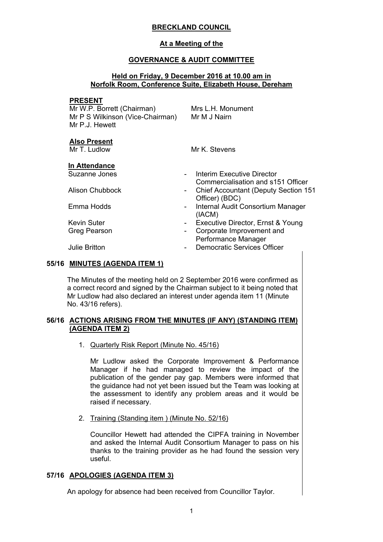# **BRECKLAND COUNCIL**

## **At a Meeting of the**

## **GOVERNANCE & AUDIT COMMITTEE**

## **Held on Friday, 9 December 2016 at 10.00 am in Norfolk Room, Conference Suite, Elizabeth House, Dereham**

### **PRESENT**

Mr W.P. Borrett (Chairman) Mr P S Wilkinson (Vice-Chairman) Mr P.J. Hewett

Mrs L.H. Monument Mr M J Nairn

## **Also Present**

Mr T. Ludlow Mr K. Stevens

# **In Attendance**

Suzanne Jones - Interim Executive Director

- Commercialisation and s151 Officer
- 

- Alison Chubbock Chief Accountant (Deputy Section 151 Officer) (BDC)
- Emma Hodds  **Internal Audit Consortium Manager** (IACM)
- Kevin Suter  **Executive Director, Ernst & Young**
- Greg Pearson **Communist Communist Corporate Improvement and** Performance Manager
- Julie Britton  **Democratic Services Officer**

# **55/16 MINUTES (AGENDA ITEM 1)**

The Minutes of the meeting held on 2 September 2016 were confirmed as a correct record and signed by the Chairman subject to it being noted that Mr Ludlow had also declared an interest under agenda item 11 (Minute No. 43/16 refers).

## **56/16 ACTIONS ARISING FROM THE MINUTES (IF ANY) (STANDING ITEM) (AGENDA ITEM 2)**

1. Quarterly Risk Report (Minute No. 45/16)

Mr Ludlow asked the Corporate Improvement & Performance Manager if he had managed to review the impact of the publication of the gender pay gap. Members were informed that the guidance had not yet been issued but the Team was looking at the assessment to identify any problem areas and it would be raised if necessary.

2. Training (Standing item ) (Minute No. 52/16)

Councillor Hewett had attended the CIPFA training in November and asked the Internal Audit Consortium Manager to pass on his thanks to the training provider as he had found the session very useful.

# **57/16 APOLOGIES (AGENDA ITEM 3)**

An apology for absence had been received from Councillor Taylor.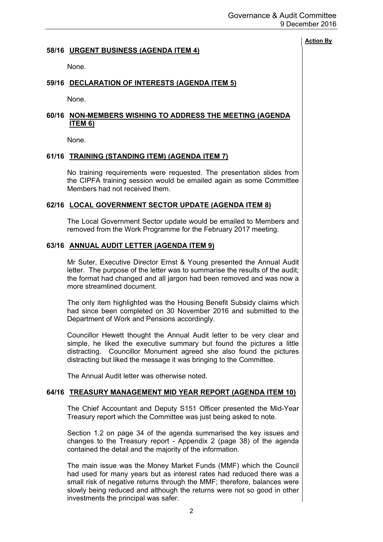## **58/16 URGENT BUSINESS (AGENDA ITEM 4)**

None.

## **59/16 DECLARATION OF INTERESTS (AGENDA ITEM 5)**

None.

# **60/16 NON-MEMBERS WISHING TO ADDRESS THE MEETING (AGENDA ITEM 6)**

None.

## **61/16 TRAINING (STANDING ITEM) (AGENDA ITEM 7)**

No training requirements were requested. The presentation slides from the CIPFA training session would be emailed again as some Committee Members had not received them.

#### **62/16 LOCAL GOVERNMENT SECTOR UPDATE (AGENDA ITEM 8)**

The Local Government Sector update would be emailed to Members and removed from the Work Programme for the February 2017 meeting.

#### **63/16 ANNUAL AUDIT LETTER (AGENDA ITEM 9)**

Mr Suter, Executive Director Ernst & Young presented the Annual Audit letter. The purpose of the letter was to summarise the results of the audit; the format had changed and all jargon had been removed and was now a more streamlined document.

The only item highlighted was the Housing Benefit Subsidy claims which had since been completed on 30 November 2016 and submitted to the Department of Work and Pensions accordingly.

Councillor Hewett thought the Annual Audit letter to be very clear and simple, he liked the executive summary but found the pictures a little distracting. Councillor Monument agreed she also found the pictures distracting but liked the message it was bringing to the Committee.

The Annual Audit letter was otherwise noted.

#### **64/16 TREASURY MANAGEMENT MID YEAR REPORT (AGENDA ITEM 10)**

The Chief Accountant and Deputy S151 Officer presented the Mid-Year Treasury report which the Committee was just being asked to note.

Section 1.2 on page 34 of the agenda summarised the key issues and changes to the Treasury report - Appendix 2 (page 38) of the agenda contained the detail and the majority of the information.

The main issue was the Money Market Funds (MMF) which the Council had used for many years but as interest rates had reduced there was a small risk of negative returns through the MMF; therefore, balances were slowly being reduced and although the returns were not so good in other investments the principal was safer.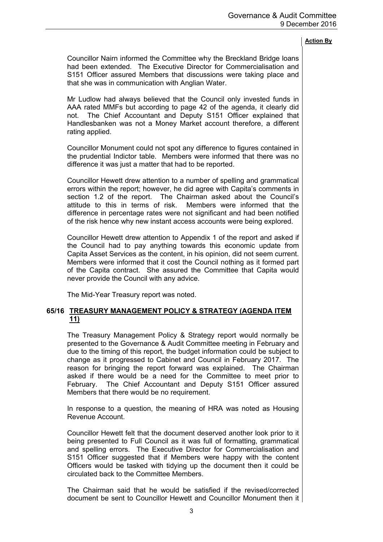Councillor Nairn informed the Committee why the Breckland Bridge loans had been extended. The Executive Director for Commercialisation and S151 Officer assured Members that discussions were taking place and that she was in communication with Anglian Water.

Mr Ludlow had always believed that the Council only invested funds in AAA rated MMFs but according to page 42 of the agenda, it clearly did not. The Chief Accountant and Deputy S151 Officer explained that Handlesbanken was not a Money Market account therefore, a different rating applied.

Councillor Monument could not spot any difference to figures contained in the prudential Indictor table. Members were informed that there was no difference it was just a matter that had to be reported.

Councillor Hewett drew attention to a number of spelling and grammatical errors within the report; however, he did agree with Capita's comments in section 1.2 of the report. The Chairman asked about the Council's attitude to this in terms of risk. Members were informed that the difference in percentage rates were not significant and had been notified of the risk hence why new instant access accounts were being explored.

Councillor Hewett drew attention to Appendix 1 of the report and asked if the Council had to pay anything towards this economic update from Capita Asset Services as the content, in his opinion, did not seem current. Members were informed that it cost the Council nothing as it formed part of the Capita contract. She assured the Committee that Capita would never provide the Council with any advice.

The Mid-Year Treasury report was noted.

# **65/16 TREASURY MANAGEMENT POLICY & STRATEGY (AGENDA ITEM 11)**

The Treasury Management Policy & Strategy report would normally be presented to the Governance & Audit Committee meeting in February and due to the timing of this report, the budget information could be subject to change as it progressed to Cabinet and Council in February 2017. The reason for bringing the report forward was explained. The Chairman asked if there would be a need for the Committee to meet prior to February. The Chief Accountant and Deputy S151 Officer assured Members that there would be no requirement.

In response to a question, the meaning of HRA was noted as Housing Revenue Account.

Councillor Hewett felt that the document deserved another look prior to it being presented to Full Council as it was full of formatting, grammatical and spelling errors. The Executive Director for Commercialisation and S151 Officer suggested that if Members were happy with the content Officers would be tasked with tidying up the document then it could be circulated back to the Committee Members.

The Chairman said that he would be satisfied if the revised/corrected document be sent to Councillor Hewett and Councillor Monument then it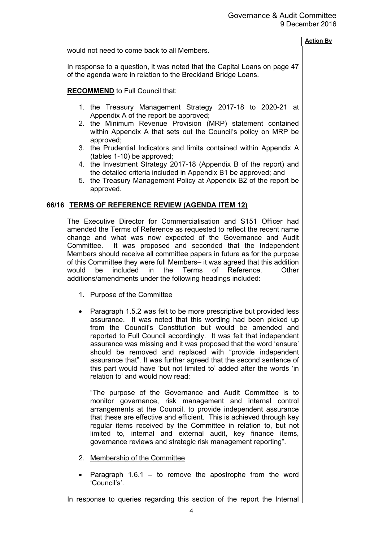|                                                                                                                                            | <b>Action By</b> |
|--------------------------------------------------------------------------------------------------------------------------------------------|------------------|
| would not need to come back to all Members.                                                                                                |                  |
| In response to a question, it was noted that the Capital Loans on page 47<br>of the agenda were in relation to the Breckland Bridge Loans. |                  |
| <b>RECOMMEND</b> to Full Council that:                                                                                                     |                  |
| 1. the Treasury Management Strategy 2017-18 to 2020-21 at<br>Appendix A of the report be approved;                                         |                  |
| 2. the Minimum Revenue Provision (MRP) statement contained<br>within Appendix A that sets out the Council's policy on MRP be<br>approved;  |                  |
| 3. the Prudential Indicators and limits contained within Appendix A<br>(tables 1-10) be approved;                                          |                  |

- 4. the Investment Strategy 2017-18 (Appendix B of the report) and the detailed criteria included in Appendix B1 be approved; and
- 5. the Treasury Management Policy at Appendix B2 of the report be approved.

## **66/16 TERMS OF REFERENCE REVIEW (AGENDA ITEM 12)**

The Executive Director for Commercialisation and S151 Officer had amended the Terms of Reference as requested to reflect the recent name change and what was now expected of the Governance and Audit Committee. It was proposed and seconded that the Independent Members should receive all committee papers in future as for the purpose of this Committee they were full Members– it was agreed that this addition would be included in the Terms of Reference. Other additions/amendments under the following headings included:

- 1. Purpose of the Committee
- Paragraph 1.5.2 was felt to be more prescriptive but provided less assurance. It was noted that this wording had been picked up from the Council's Constitution but would be amended and reported to Full Council accordingly. It was felt that independent assurance was missing and it was proposed that the word 'ensure' should be removed and replaced with "provide independent assurance that". It was further agreed that the second sentence of this part would have 'but not limited to' added after the words 'in relation to' and would now read:

"The purpose of the Governance and Audit Committee is to monitor governance, risk management and internal control arrangements at the Council, to provide independent assurance that these are effective and efficient. This is achieved through key regular items received by the Committee in relation to, but not limited to, internal and external audit, key finance items, governance reviews and strategic risk management reporting".

- 2. Membership of the Committee
- Paragraph  $1.6.1 -$  to remove the apostrophe from the word 'Council's'.

In response to queries regarding this section of the report the Internal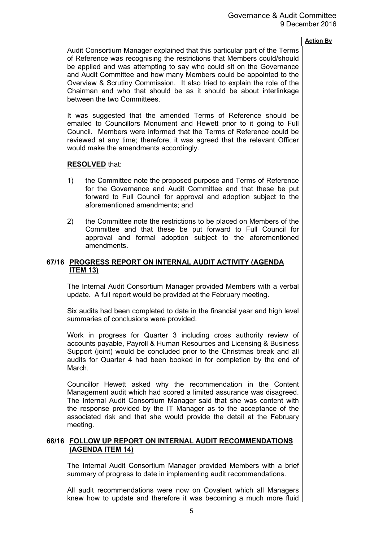Audit Consortium Manager explained that this particular part of the Terms of Reference was recognising the restrictions that Members could/should be applied and was attempting to say who could sit on the Governance and Audit Committee and how many Members could be appointed to the Overview & Scrutiny Commission. It also tried to explain the role of the Chairman and who that should be as it should be about interlinkage between the two Committees.

It was suggested that the amended Terms of Reference should be emailed to Councillors Monument and Hewett prior to it going to Full Council. Members were informed that the Terms of Reference could be reviewed at any time; therefore, it was agreed that the relevant Officer would make the amendments accordingly.

## **RESOLVED** that:

- 1) the Committee note the proposed purpose and Terms of Reference for the Governance and Audit Committee and that these be put forward to Full Council for approval and adoption subject to the aforementioned amendments; and
- 2) the Committee note the restrictions to be placed on Members of the Committee and that these be put forward to Full Council for approval and formal adoption subject to the aforementioned amendments.

# **67/16 PROGRESS REPORT ON INTERNAL AUDIT ACTIVITY (AGENDA ITEM 13)**

The Internal Audit Consortium Manager provided Members with a verbal update. A full report would be provided at the February meeting.

Six audits had been completed to date in the financial year and high level summaries of conclusions were provided.

Work in progress for Quarter 3 including cross authority review of accounts payable, Payroll & Human Resources and Licensing & Business Support (joint) would be concluded prior to the Christmas break and all audits for Quarter 4 had been booked in for completion by the end of March.

Councillor Hewett asked why the recommendation in the Content Management audit which had scored a limited assurance was disagreed. The Internal Audit Consortium Manager said that she was content with the response provided by the IT Manager as to the acceptance of the associated risk and that she would provide the detail at the February meeting.

## **68/16 FOLLOW UP REPORT ON INTERNAL AUDIT RECOMMENDATIONS (AGENDA ITEM 14)**

The Internal Audit Consortium Manager provided Members with a brief summary of progress to date in implementing audit recommendations.

All audit recommendations were now on Covalent which all Managers knew how to update and therefore it was becoming a much more fluid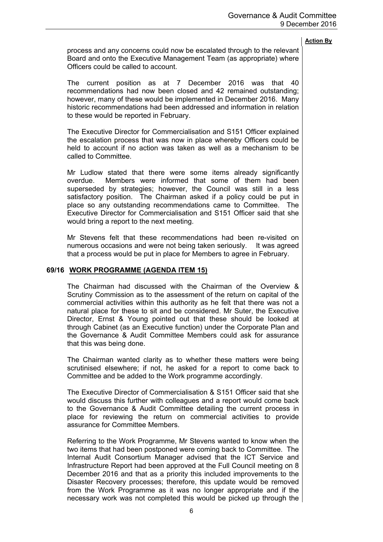process and any concerns could now be escalated through to the relevant Board and onto the Executive Management Team (as appropriate) where Officers could be called to account.

The current position as at 7 December 2016 was that 40 recommendations had now been closed and 42 remained outstanding; however, many of these would be implemented in December 2016. Many historic recommendations had been addressed and information in relation to these would be reported in February.

The Executive Director for Commercialisation and S151 Officer explained the escalation process that was now in place whereby Officers could be held to account if no action was taken as well as a mechanism to be called to Committee.

Mr Ludlow stated that there were some items already significantly overdue. Members were informed that some of them had been superseded by strategies; however, the Council was still in a less satisfactory position. The Chairman asked if a policy could be put in place so any outstanding recommendations came to Committee. The Executive Director for Commercialisation and S151 Officer said that she would bring a report to the next meeting.

Mr Stevens felt that these recommendations had been re-visited on numerous occasions and were not being taken seriously. It was agreed that a process would be put in place for Members to agree in February.

### **69/16 WORK PROGRAMME (AGENDA ITEM 15)**

The Chairman had discussed with the Chairman of the Overview & Scrutiny Commission as to the assessment of the return on capital of the commercial activities within this authority as he felt that there was not a natural place for these to sit and be considered. Mr Suter, the Executive Director, Ernst & Young pointed out that these should be looked at through Cabinet (as an Executive function) under the Corporate Plan and the Governance & Audit Committee Members could ask for assurance that this was being done.

The Chairman wanted clarity as to whether these matters were being scrutinised elsewhere; if not, he asked for a report to come back to Committee and be added to the Work programme accordingly.

The Executive Director of Commercialisation & S151 Officer said that she would discuss this further with colleagues and a report would come back to the Governance & Audit Committee detailing the current process in place for reviewing the return on commercial activities to provide assurance for Committee Members.

Referring to the Work Programme, Mr Stevens wanted to know when the two items that had been postponed were coming back to Committee. The Internal Audit Consortium Manager advised that the ICT Service and Infrastructure Report had been approved at the Full Council meeting on 8 December 2016 and that as a priority this included improvements to the Disaster Recovery processes; therefore, this update would be removed from the Work Programme as it was no longer appropriate and if the necessary work was not completed this would be picked up through the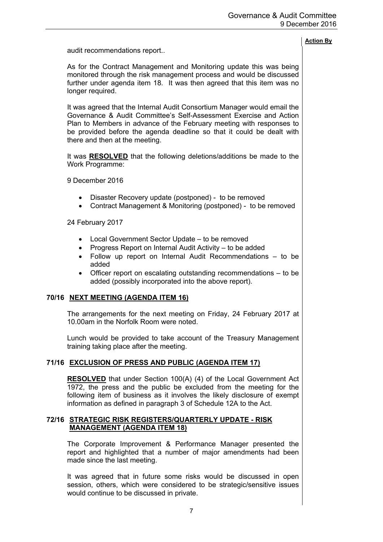## audit recommendations report..

As for the Contract Management and Monitoring update this was being monitored through the risk management process and would be discussed further under agenda item 18. It was then agreed that this item was no longer required.

It was agreed that the Internal Audit Consortium Manager would email the Governance & Audit Committee's Self-Assessment Exercise and Action Plan to Members in advance of the February meeting with responses to be provided before the agenda deadline so that it could be dealt with there and then at the meeting.

It was **RESOLVED** that the following deletions/additions be made to the Work Programme:

9 December 2016

- Disaster Recovery update (postponed) to be removed
- Contract Management & Monitoring (postponed) to be removed

24 February 2017

- Local Government Sector Update to be removed
- Progress Report on Internal Audit Activity to be added
- Follow up report on Internal Audit Recommendations to be added
- Officer report on escalating outstanding recommendations to be added (possibly incorporated into the above report).

# **70/16 NEXT MEETING (AGENDA ITEM 16)**

The arrangements for the next meeting on Friday, 24 February 2017 at 10.00am in the Norfolk Room were noted.

Lunch would be provided to take account of the Treasury Management training taking place after the meeting.

## **71/16 EXCLUSION OF PRESS AND PUBLIC (AGENDA ITEM 17)**

**RESOLVED** that under Section 100(A) (4) of the Local Government Act 1972, the press and the public be excluded from the meeting for the following item of business as it involves the likely disclosure of exempt information as defined in paragraph 3 of Schedule 12A to the Act.

## **72/16 STRATEGIC RISK REGISTERS/QUARTERLY UPDATE - RISK MANAGEMENT (AGENDA ITEM 18)**

The Corporate Improvement & Performance Manager presented the report and highlighted that a number of major amendments had been made since the last meeting.

It was agreed that in future some risks would be discussed in open session, others, which were considered to be strategic/sensitive issues would continue to be discussed in private.